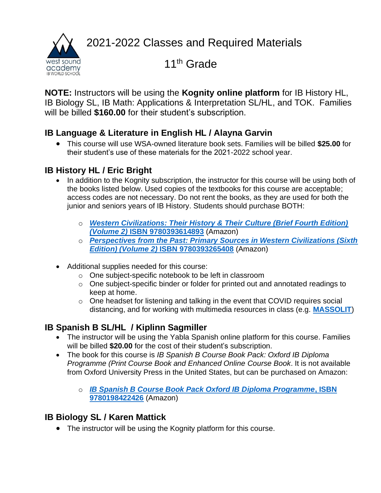2021-2022 Classes and Required Materials



11<sup>th</sup> Grade

**NOTE:** Instructors will be using the **Kognity online platform** for IB History HL, IB Biology SL, IB Math: Applications & Interpretation SL/HL, and TOK. Families will be billed **\$160.00** for their student's subscription.

## **IB Language & Literature in English HL / Alayna Garvin**

• This course will use WSA-owned literature book sets. Families will be billed **\$25.00** for their student's use of these materials for the 2021-2022 school year.

# **IB History HL / Eric Bright**

- In addition to the Kognity subscription, the instructor for this course will be using both of the books listed below. Used copies of the textbooks for this course are acceptable; access codes are not necessary. Do not rent the books, as they are used for both the junior and seniors years of IB History. Students should purchase BOTH:
	- o *[Western Civilizations: Their History & Their Culture \(Brief Fourth Edition\)](https://smile.amazon.com/gp/offer-listing/0393614891/ref=olp_f_used?ie=UTF8&f_new=true&f_usedAcceptable=true&f_usedGood=true&f_used=true&f_usedLikeNew=true&f_usedVeryGood=true)  (Volume 2)* **[ISBN 9780393614893](https://smile.amazon.com/gp/offer-listing/0393614891/ref=olp_f_used?ie=UTF8&f_new=true&f_usedAcceptable=true&f_usedGood=true&f_used=true&f_usedLikeNew=true&f_usedVeryGood=true)** (Amazon)
	- o *[Perspectives from the Past: Primary Sources in Western Civilizations \(Sixth](https://smile.amazon.com/gp/offer-listing/0393265404/ref=olp_f_new?ie=UTF8&f_used=true&f_usedLikeNew=true&f_usedVeryGood=true&f_usedGood=true&f_usedAcceptable=true&f_new=true)  Edition) (Volume 2)* **[ISBN 9780393265408](https://smile.amazon.com/gp/offer-listing/0393265404/ref=olp_f_new?ie=UTF8&f_used=true&f_usedLikeNew=true&f_usedVeryGood=true&f_usedGood=true&f_usedAcceptable=true&f_new=true)** (Amazon)
- Additional supplies needed for this course:
	- o One subject-specific notebook to be left in classroom
	- o One subject-specific binder or folder for printed out and annotated readings to keep at home.
	- o One headset for listening and talking in the event that COVID requires social distancing, and for working with multimedia resources in class (e.g. **[MASSOLIT](https://massolit.io/)**)

# **IB Spanish B SL/HL / Kiplinn Sagmiller**

- The instructor will be using the Yabla Spanish online platform for this course. Families will be billed **\$20.00** for the cost of their student's subscription.
- The book for this course is *IB Spanish B Course Book Pack: Oxford IB Diploma Programme (Print Course Book and Enhanced Online Course Book*. It is not available from Oxford University Press in the United States, but can be purchased on Amazon:
	- o *[IB Spanish B Course Book Pack Oxford IB Diploma Programme](https://smile.amazon.com/Spanish-Course-Book-Pack-Programme/dp/0198422423/ref=sr_1_1?dchild=1&keywords=9780198422426&qid=1593627926&sr=8-1)***, ISBN [9780198422426](https://smile.amazon.com/Spanish-Course-Book-Pack-Programme/dp/0198422423/ref=sr_1_1?dchild=1&keywords=9780198422426&qid=1593627926&sr=8-1)** (Amazon)

# **IB Biology SL / Karen Mattick**

• The instructor will be using the Kognity platform for this course.